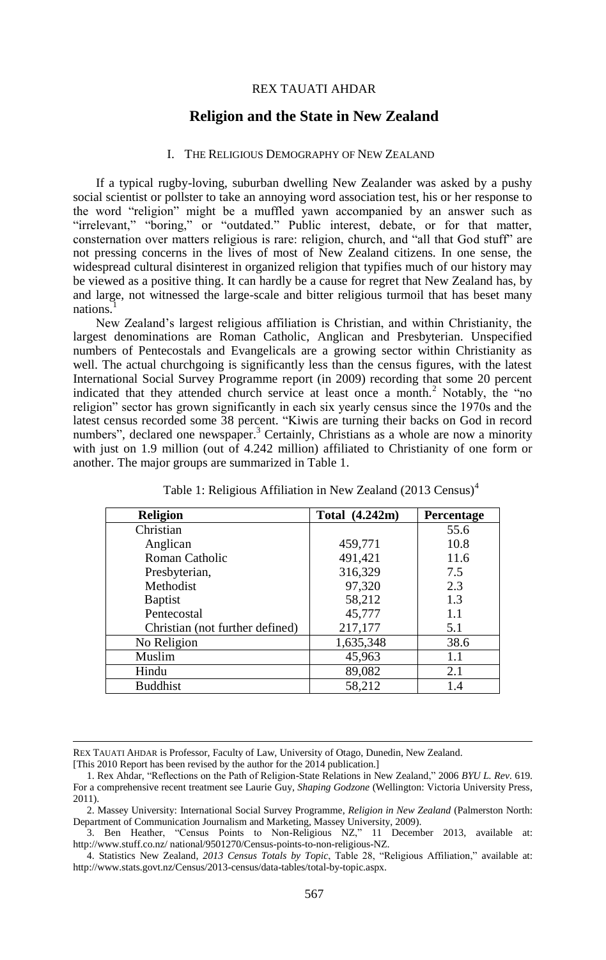#### REX TAUATI AHDAR

# **Religion and the State in New Zealand**

# I. THE RELIGIOUS DEMOGRAPHY OF NEW ZEALAND

If a typical rugby-loving, suburban dwelling New Zealander was asked by a pushy social scientist or pollster to take an annoying word association test, his or her response to the word "religion" might be a muffled yawn accompanied by an answer such as "irrelevant," "boring," or "outdated." Public interest, debate, or for that matter, consternation over matters religious is rare: religion, church, and "all that God stuff" are not pressing concerns in the lives of most of New Zealand citizens. In one sense, the widespread cultural disinterest in organized religion that typifies much of our history may be viewed as a positive thing. It can hardly be a cause for regret that New Zealand has, by and large, not witnessed the large-scale and bitter religious turmoil that has beset many nations.<sup>1</sup>

New Zealand's largest religious affiliation is Christian, and within Christianity, the largest denominations are Roman Catholic, Anglican and Presbyterian. Unspecified numbers of Pentecostals and Evangelicals are a growing sector within Christianity as well. The actual churchgoing is significantly less than the census figures, with the latest International Social Survey Programme report (in 2009) recording that some 20 percent indicated that they attended church service at least once a month.<sup>2</sup> Notably, the "no religion" sector has grown significantly in each six yearly census since the 1970s and the latest census recorded some 38 percent. "Kiwis are turning their backs on God in record numbers", declared one newspaper.<sup>3</sup> Certainly, Christians as a whole are now a minority with just on 1.9 million (out of 4.242 million) affiliated to Christianity of one form or another. The major groups are summarized in Table 1.

| <b>Religion</b>                 | Total (4.242m) | <b>Percentage</b> |
|---------------------------------|----------------|-------------------|
| Christian                       |                | 55.6              |
| Anglican                        | 459,771        | 10.8              |
| Roman Catholic                  | 491,421        | 11.6              |
| Presbyterian,                   | 316,329        | 7.5               |
| <b>Methodist</b>                | 97,320         | 2.3               |
| <b>Baptist</b>                  | 58,212         | 1.3               |
| Pentecostal                     | 45,777         | 1.1               |
| Christian (not further defined) | 217,177        | 5.1               |
| No Religion                     | 1,635,348      | 38.6              |
| Muslim                          | 45,963         | 1.1               |
| Hindu                           | 89,082         | 2.1               |
| <b>Buddhist</b>                 | 58,212         | 1.4               |

Table 1: Religious Affiliation in New Zealand (2013 Census)<sup>4</sup>

REX TAUATI AHDAR is Professor, Faculty of Law, University of Otago, Dunedin, New Zealand.

<sup>[</sup>This 2010 Report has been revised by the author for the 2014 publication.]

<sup>1.</sup> Rex Ahdar, "Reflections on the Path of Religion-State Relations in New Zealand," 2006 *BYU L. Rev.* 619. For a comprehensive recent treatment see Laurie Guy, *Shaping Godzone* (Wellington: Victoria University Press, 2011).

<sup>2.</sup> Massey University: International Social Survey Programme, *Religion in New Zealand* (Palmerston North: Department of Communication Journalism and Marketing, Massey University, 2009).

<sup>3.</sup> Ben Heather, "Census Points to Non-Religious NZ," 11 December 2013, available at: http://www.stuff.co.nz/ national/9501270/Census-points-to-non-religious-NZ.

<sup>4.</sup> Statistics New Zealand, *2013 Census Totals by Topic*, Table 28, "Religious Affiliation," available at: http://www.stats.govt.nz/Census/2013-census/data-tables/total-by-topic.aspx.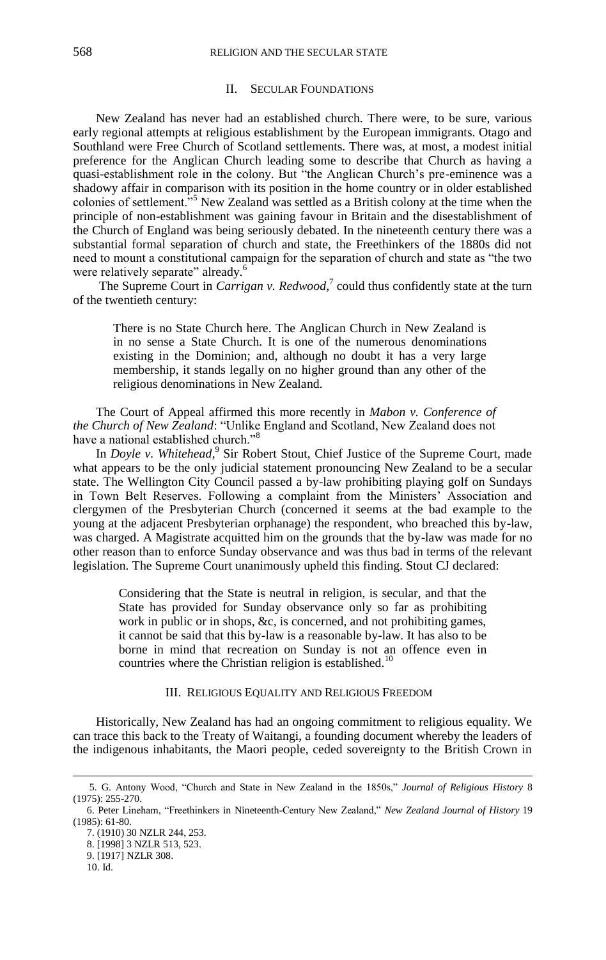## II. SECULAR FOUNDATIONS

New Zealand has never had an established church. There were, to be sure, various early regional attempts at religious establishment by the European immigrants. Otago and Southland were Free Church of Scotland settlements. There was, at most, a modest initial preference for the Anglican Church leading some to describe that Church as having a quasi-establishment role in the colony. But "the Anglican Church's pre-eminence was a shadowy affair in comparison with its position in the home country or in older established colonies of settlement."<sup>5</sup> New Zealand was settled as a British colony at the time when the principle of non-establishment was gaining favour in Britain and the disestablishment of the Church of England was being seriously debated. In the nineteenth century there was a substantial formal separation of church and state, the Freethinkers of the 1880s did not need to mount a constitutional campaign for the separation of church and state as "the two were relatively separate" already.<sup>6</sup>

The Supreme Court in *Carrigan v. Redwood*,<sup>7</sup> could thus confidently state at the turn of the twentieth century:

There is no State Church here. The Anglican Church in New Zealand is in no sense a State Church. It is one of the numerous denominations existing in the Dominion; and, although no doubt it has a very large membership, it stands legally on no higher ground than any other of the religious denominations in New Zealand.

The Court of Appeal affirmed this more recently in *Mabon v. Conference of the Church of New Zealand*: "Unlike England and Scotland, New Zealand does not have a national established church."<sup>8</sup>

In *Doyle v. Whitehead*, 9 Sir Robert Stout, Chief Justice of the Supreme Court, made what appears to be the only judicial statement pronouncing New Zealand to be a secular state. The Wellington City Council passed a by-law prohibiting playing golf on Sundays in Town Belt Reserves. Following a complaint from the Ministers' Association and clergymen of the Presbyterian Church (concerned it seems at the bad example to the young at the adjacent Presbyterian orphanage) the respondent, who breached this by-law, was charged. A Magistrate acquitted him on the grounds that the by-law was made for no other reason than to enforce Sunday observance and was thus bad in terms of the relevant legislation. The Supreme Court unanimously upheld this finding. Stout CJ declared:

Considering that the State is neutral in religion, is secular, and that the State has provided for Sunday observance only so far as prohibiting work in public or in shops, &c, is concerned, and not prohibiting games, it cannot be said that this by-law is a reasonable by-law. It has also to be borne in mind that recreation on Sunday is not an offence even in countries where the Christian religion is established.<sup>10</sup>

# III. RELIGIOUS EQUALITY AND RELIGIOUS FREEDOM

Historically, New Zealand has had an ongoing commitment to religious equality. We can trace this back to the Treaty of Waitangi, a founding document whereby the leaders of the indigenous inhabitants, the Maori people, ceded sovereignty to the British Crown in

<sup>5.</sup> G. Antony Wood, "Church and State in New Zealand in the 1850s," *Journal of Religious History* 8 (1975): 255-270.

<sup>6.</sup> Peter Lineham, "Freethinkers in Nineteenth-Century New Zealand," *New Zealand Journal of History* 19 (1985): 61-80.

<sup>7.</sup> (1910) 30 NZLR 244, 253.

<sup>8.</sup> [1998] 3 NZLR 513, 523.

<sup>9.</sup> [1917] NZLR 308. 10. Id.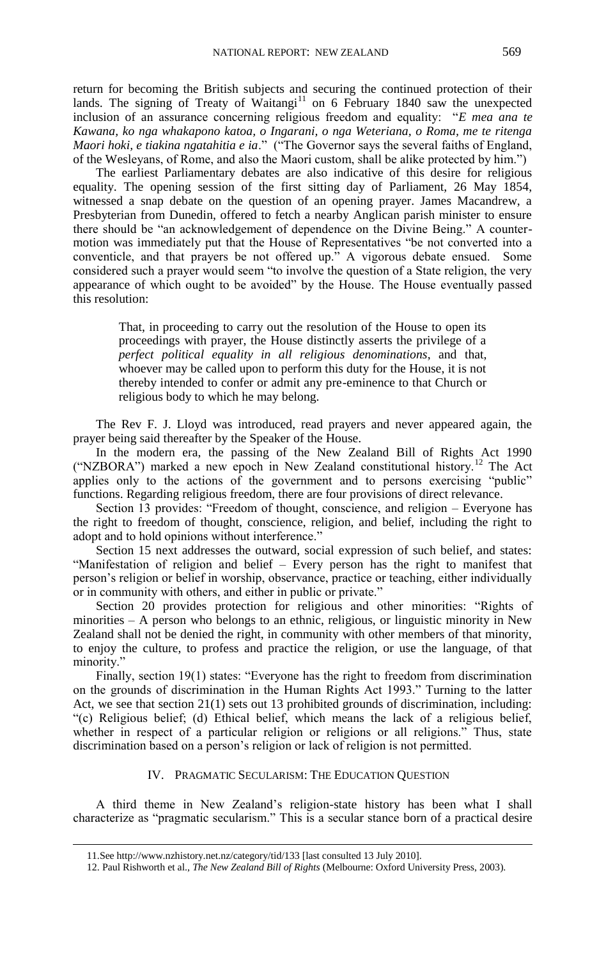return for becoming the British subjects and securing the continued protection of their lands. The signing of Treaty of Waitangi<sup>11</sup> on 6 February 1840 saw the unexpected inclusion of an assurance concerning religious freedom and equality: "*E mea ana te Kawana, ko nga whakapono katoa, o Ingarani, o nga Weteriana, o Roma, me te ritenga Maori hoki, e tiakina ngatahitia e ia*." ("The Governor says the several faiths of England, of the Wesleyans, of Rome, and also the Maori custom, shall be alike protected by him.")

The earliest Parliamentary debates are also indicative of this desire for religious equality. The opening session of the first sitting day of Parliament, 26 May 1854, witnessed a snap debate on the question of an opening prayer. James Macandrew, a Presbyterian from Dunedin, offered to fetch a nearby Anglican parish minister to ensure there should be "an acknowledgement of dependence on the Divine Being." A countermotion was immediately put that the House of Representatives "be not converted into a conventicle, and that prayers be not offered up." A vigorous debate ensued. Some considered such a prayer would seem "to involve the question of a State religion, the very appearance of which ought to be avoided" by the House. The House eventually passed this resolution:

That, in proceeding to carry out the resolution of the House to open its proceedings with prayer, the House distinctly asserts the privilege of a *perfect political equality in all religious denominations*, and that, whoever may be called upon to perform this duty for the House, it is not thereby intended to confer or admit any pre-eminence to that Church or religious body to which he may belong.

The Rev F. J. Lloyd was introduced, read prayers and never appeared again, the prayer being said thereafter by the Speaker of the House.

In the modern era, the passing of the New Zealand Bill of Rights Act 1990 ("NZBORA") marked a new epoch in New Zealand constitutional history.<sup>12</sup> The Act applies only to the actions of the government and to persons exercising "public" functions. Regarding religious freedom, there are four provisions of direct relevance.

Section 13 provides: "Freedom of thought, conscience, and religion – Everyone has the right to freedom of thought, conscience, religion, and belief, including the right to adopt and to hold opinions without interference."

Section 15 next addresses the outward, social expression of such belief, and states: "Manifestation of religion and belief – Every person has the right to manifest that person's religion or belief in worship, observance, practice or teaching, either individually or in community with others, and either in public or private."

Section 20 provides protection for religious and other minorities: "Rights of minorities – A person who belongs to an ethnic, religious, or linguistic minority in New Zealand shall not be denied the right, in community with other members of that minority, to enjoy the culture, to profess and practice the religion, or use the language, of that minority."

Finally, section 19(1) states: "Everyone has the right to freedom from discrimination on the grounds of discrimination in the Human Rights Act 1993." Turning to the latter Act, we see that section 21(1) sets out 13 prohibited grounds of discrimination, including: "(c) Religious belief; (d) Ethical belief, which means the lack of a religious belief, whether in respect of a particular religion or religions or all religions." Thus, state discrimination based on a person's religion or lack of religion is not permitted.

#### IV. PRAGMATIC SECULARISM: THE EDUCATION QUESTION

A third theme in New Zealand's religion-state history has been what I shall characterize as "pragmatic secularism." This is a secular stance born of a practical desire

<sup>11.</sup>See http://www.nzhistory.net.nz/category/tid/133 [last consulted 13 July 2010].

<sup>12.</sup> Paul Rishworth et al., *The New Zealand Bill of Rights* (Melbourne: Oxford University Press, 2003).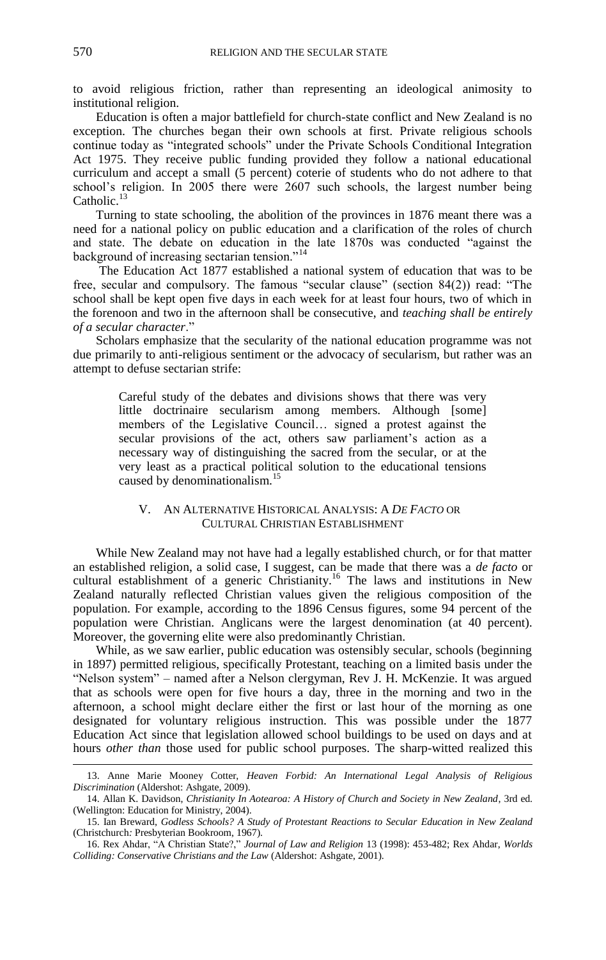to avoid religious friction, rather than representing an ideological animosity to institutional religion.

Education is often a major battlefield for church-state conflict and New Zealand is no exception. The churches began their own schools at first. Private religious schools continue today as "integrated schools" under the Private Schools Conditional Integration Act 1975. They receive public funding provided they follow a national educational curriculum and accept a small (5 percent) coterie of students who do not adhere to that school's religion. In 2005 there were 2607 such schools, the largest number being Catholic.<sup>13</sup>

Turning to state schooling, the abolition of the provinces in 1876 meant there was a need for a national policy on public education and a clarification of the roles of church and state. The debate on education in the late 1870s was conducted "against the background of increasing sectarian tension."<sup>14</sup>

The Education Act 1877 established a national system of education that was to be free, secular and compulsory. The famous "secular clause" (section 84(2)) read: "The school shall be kept open five days in each week for at least four hours, two of which in the forenoon and two in the afternoon shall be consecutive, and *teaching shall be entirely of a secular character*."

Scholars emphasize that the secularity of the national education programme was not due primarily to anti-religious sentiment or the advocacy of secularism, but rather was an attempt to defuse sectarian strife:

Careful study of the debates and divisions shows that there was very little doctrinaire secularism among members. Although [some] members of the Legislative Council… signed a protest against the secular provisions of the act, others saw parliament's action as a necessary way of distinguishing the sacred from the secular, or at the very least as a practical political solution to the educational tensions caused by denominationalism.<sup>15</sup>

# V. AN ALTERNATIVE HISTORICAL ANALYSIS: A *DE FACTO* OR CULTURAL CHRISTIAN ESTABLISHMENT

While New Zealand may not have had a legally established church, or for that matter an established religion, a solid case, I suggest, can be made that there was a *de facto* or cultural establishment of a generic Christianity.<sup>16</sup> The laws and institutions in New Zealand naturally reflected Christian values given the religious composition of the population. For example, according to the 1896 Census figures, some 94 percent of the population were Christian. Anglicans were the largest denomination (at 40 percent). Moreover, the governing elite were also predominantly Christian.

While, as we saw earlier, public education was ostensibly secular, schools (beginning in 1897) permitted religious, specifically Protestant, teaching on a limited basis under the "Nelson system" – named after a Nelson clergyman, Rev J. H. McKenzie. It was argued that as schools were open for five hours a day, three in the morning and two in the afternoon, a school might declare either the first or last hour of the morning as one designated for voluntary religious instruction. This was possible under the 1877 Education Act since that legislation allowed school buildings to be used on days and at hours *other than* those used for public school purposes. The sharp-witted realized this

<sup>13.</sup> Anne Marie Mooney Cotter, *Heaven Forbid: An International Legal Analysis of Religious Discrimination* (Aldershot: Ashgate, 2009).

<sup>14.</sup> Allan K. Davidson, *Christianity In Aotearoa: A History of Church and Society in New Zealand*, 3rd ed. (Wellington: Education for Ministry, 2004).

<sup>15.</sup> Ian Breward, *Godless Schools? A Study of Protestant Reactions to Secular Education in New Zealand*  (Christchurch*:* Presbyterian Bookroom, 1967).

<sup>16.</sup> Rex Ahdar, "A Christian State?," *Journal of Law and Religion* 13 (1998): 453-482; Rex Ahdar, *Worlds Colliding: Conservative Christians and the Law* (Aldershot: Ashgate, 2001).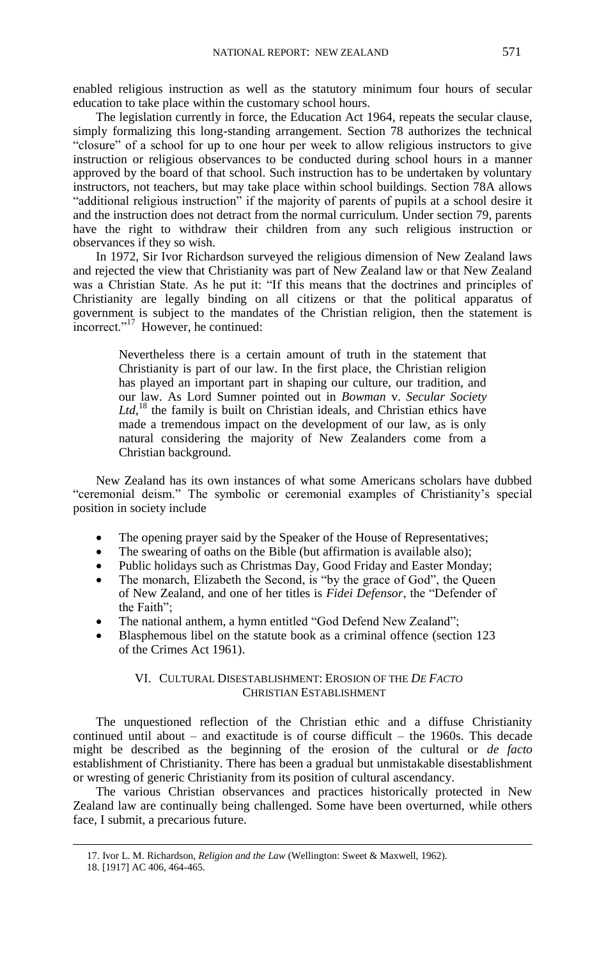enabled religious instruction as well as the statutory minimum four hours of secular education to take place within the customary school hours.

The legislation currently in force, the Education Act 1964, repeats the secular clause, simply formalizing this long-standing arrangement. Section 78 authorizes the technical "closure" of a school for up to one hour per week to allow religious instructors to give instruction or religious observances to be conducted during school hours in a manner approved by the board of that school. Such instruction has to be undertaken by voluntary instructors, not teachers, but may take place within school buildings. Section 78A allows "additional religious instruction" if the majority of parents of pupils at a school desire it and the instruction does not detract from the normal curriculum. Under section 79, parents have the right to withdraw their children from any such religious instruction or observances if they so wish.

In 1972, Sir Ivor Richardson surveyed the religious dimension of New Zealand laws and rejected the view that Christianity was part of New Zealand law or that New Zealand was a Christian State. As he put it: "If this means that the doctrines and principles of Christianity are legally binding on all citizens or that the political apparatus of government is subject to the mandates of the Christian religion, then the statement is incorrect."<sup>17</sup> However, he continued:

Nevertheless there is a certain amount of truth in the statement that Christianity is part of our law. In the first place, the Christian religion has played an important part in shaping our culture, our tradition, and our law. As Lord Sumner pointed out in *Bowman* v. *Secular Society*  Ltd,<sup>18</sup> the family is built on Christian ideals, and Christian ethics have made a tremendous impact on the development of our law, as is only natural considering the majority of New Zealanders come from a Christian background.

New Zealand has its own instances of what some Americans scholars have dubbed "ceremonial deism." The symbolic or ceremonial examples of Christianity's special position in society include

- The opening prayer said by the Speaker of the House of Representatives;
- The swearing of oaths on the Bible (but affirmation is available also);
- Public holidays such as Christmas Day, Good Friday and Easter Monday;
- The monarch, Elizabeth the Second, is "by the grace of God", the Queen of New Zealand, and one of her titles is *Fidei Defensor*, the "Defender of the Faith";
- The national anthem, a hymn entitled "God Defend New Zealand";
- Blasphemous libel on the statute book as a criminal offence (section 123 of the Crimes Act 1961).

## VI. CULTURAL DISESTABLISHMENT: EROSION OF THE *DE FACTO*  CHRISTIAN ESTABLISHMENT

The unquestioned reflection of the Christian ethic and a diffuse Christianity continued until about – and exactitude is of course difficult – the 1960s. This decade might be described as the beginning of the erosion of the cultural or *de facto* establishment of Christianity. There has been a gradual but unmistakable disestablishment or wresting of generic Christianity from its position of cultural ascendancy.

The various Christian observances and practices historically protected in New Zealand law are continually being challenged. Some have been overturned, while others face, I submit, a precarious future.

<sup>17.</sup> Ivor L. M. Richardson, *Religion and the Law* (Wellington: Sweet & Maxwell, 1962).

<sup>18.</sup> [1917] AC 406, 464-465.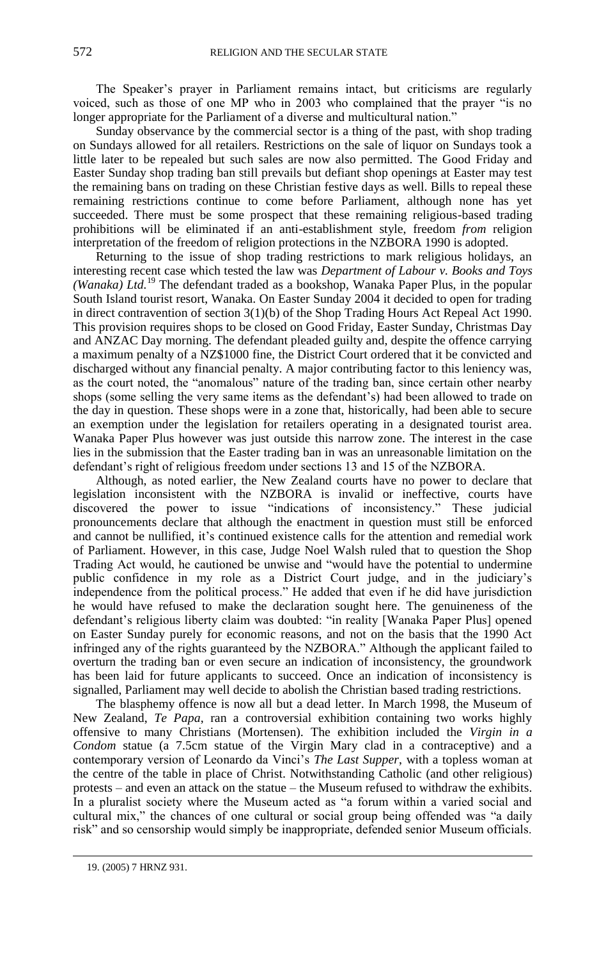The Speaker's prayer in Parliament remains intact, but criticisms are regularly voiced, such as those of one MP who in 2003 who complained that the prayer "is no longer appropriate for the Parliament of a diverse and multicultural nation."

Sunday observance by the commercial sector is a thing of the past, with shop trading on Sundays allowed for all retailers. Restrictions on the sale of liquor on Sundays took a little later to be repealed but such sales are now also permitted. The Good Friday and Easter Sunday shop trading ban still prevails but defiant shop openings at Easter may test the remaining bans on trading on these Christian festive days as well. Bills to repeal these remaining restrictions continue to come before Parliament, although none has yet succeeded. There must be some prospect that these remaining religious-based trading prohibitions will be eliminated if an anti-establishment style, freedom *from* religion interpretation of the freedom of religion protections in the NZBORA 1990 is adopted.

Returning to the issue of shop trading restrictions to mark religious holidays, an interesting recent case which tested the law was *Department of Labour v. Books and Toys (Wanaka) Ltd.*<sup>19</sup> The defendant traded as a bookshop, Wanaka Paper Plus, in the popular South Island tourist resort, Wanaka. On Easter Sunday 2004 it decided to open for trading in direct contravention of section 3(1)(b) of the Shop Trading Hours Act Repeal Act 1990. This provision requires shops to be closed on Good Friday, Easter Sunday, Christmas Day and ANZAC Day morning. The defendant pleaded guilty and, despite the offence carrying a maximum penalty of a NZ\$1000 fine, the District Court ordered that it be convicted and discharged without any financial penalty. A major contributing factor to this leniency was, as the court noted, the "anomalous" nature of the trading ban, since certain other nearby shops (some selling the very same items as the defendant's) had been allowed to trade on the day in question. These shops were in a zone that, historically, had been able to secure an exemption under the legislation for retailers operating in a designated tourist area. Wanaka Paper Plus however was just outside this narrow zone. The interest in the case lies in the submission that the Easter trading ban in was an unreasonable limitation on the defendant's right of religious freedom under sections 13 and 15 of the NZBORA.

Although, as noted earlier, the New Zealand courts have no power to declare that legislation inconsistent with the NZBORA is invalid or ineffective, courts have discovered the power to issue "indications of inconsistency." These judicial pronouncements declare that although the enactment in question must still be enforced and cannot be nullified, it's continued existence calls for the attention and remedial work of Parliament. However, in this case, Judge Noel Walsh ruled that to question the Shop Trading Act would, he cautioned be unwise and "would have the potential to undermine public confidence in my role as a District Court judge, and in the judiciary's independence from the political process." He added that even if he did have jurisdiction he would have refused to make the declaration sought here. The genuineness of the defendant's religious liberty claim was doubted: "in reality [Wanaka Paper Plus] opened on Easter Sunday purely for economic reasons, and not on the basis that the 1990 Act infringed any of the rights guaranteed by the NZBORA." Although the applicant failed to overturn the trading ban or even secure an indication of inconsistency, the groundwork has been laid for future applicants to succeed. Once an indication of inconsistency is signalled, Parliament may well decide to abolish the Christian based trading restrictions.

The blasphemy offence is now all but a dead letter. In March 1998, the Museum of New Zealand, *Te Papa*, ran a controversial exhibition containing two works highly offensive to many Christians (Mortensen). The exhibition included the *Virgin in a Condom* statue (a 7.5cm statue of the Virgin Mary clad in a contraceptive) and a contemporary version of Leonardo da Vinci's *The Last Supper*, with a topless woman at the centre of the table in place of Christ. Notwithstanding Catholic (and other religious) protests – and even an attack on the statue – the Museum refused to withdraw the exhibits. In a pluralist society where the Museum acted as "a forum within a varied social and cultural mix," the chances of one cultural or social group being offended was "a daily risk" and so censorship would simply be inappropriate, defended senior Museum officials.

<sup>19.</sup> (2005) 7 HRNZ 931.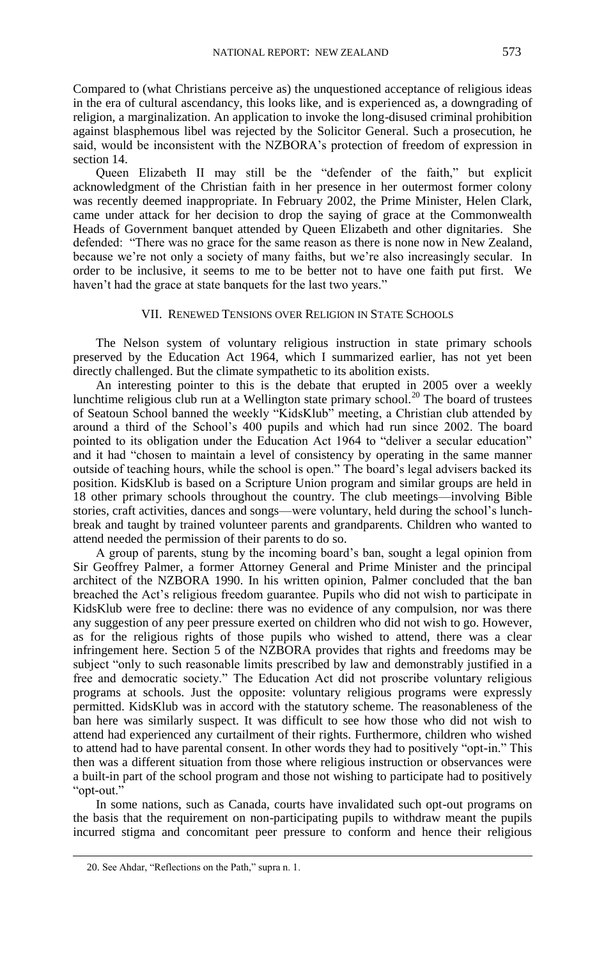Compared to (what Christians perceive as) the unquestioned acceptance of religious ideas in the era of cultural ascendancy, this looks like, and is experienced as, a downgrading of religion, a marginalization. An application to invoke the long-disused criminal prohibition against blasphemous libel was rejected by the Solicitor General. Such a prosecution, he said, would be inconsistent with the NZBORA's protection of freedom of expression in section 14.

Queen Elizabeth II may still be the "defender of the faith," but explicit acknowledgment of the Christian faith in her presence in her outermost former colony was recently deemed inappropriate. In February 2002, the Prime Minister, Helen Clark, came under attack for her decision to drop the saying of grace at the Commonwealth Heads of Government banquet attended by Queen Elizabeth and other dignitaries. She defended: "There was no grace for the same reason as there is none now in New Zealand, because we're not only a society of many faiths, but we're also increasingly secular. In order to be inclusive, it seems to me to be better not to have one faith put first. We haven't had the grace at state banquets for the last two years."

# VII. RENEWED TENSIONS OVER RELIGION IN STATE SCHOOLS

The Nelson system of voluntary religious instruction in state primary schools preserved by the Education Act 1964, which I summarized earlier, has not yet been directly challenged. But the climate sympathetic to its abolition exists.

An interesting pointer to this is the debate that erupted in 2005 over a weekly lunchtime religious club run at a Wellington state primary school.<sup>20</sup> The board of trustees of Seatoun School banned the weekly "KidsKlub" meeting, a Christian club attended by around a third of the School's 400 pupils and which had run since 2002. The board pointed to its obligation under the Education Act 1964 to "deliver a secular education" and it had "chosen to maintain a level of consistency by operating in the same manner outside of teaching hours, while the school is open." The board's legal advisers backed its position. KidsKlub is based on a Scripture Union program and similar groups are held in 18 other primary schools throughout the country. The club meetings—involving Bible stories, craft activities, dances and songs—were voluntary, held during the school's lunchbreak and taught by trained volunteer parents and grandparents. Children who wanted to attend needed the permission of their parents to do so.

A group of parents, stung by the incoming board's ban, sought a legal opinion from Sir Geoffrey Palmer, a former Attorney General and Prime Minister and the principal architect of the NZBORA 1990. In his written opinion, Palmer concluded that the ban breached the Act's religious freedom guarantee. Pupils who did not wish to participate in KidsKlub were free to decline: there was no evidence of any compulsion, nor was there any suggestion of any peer pressure exerted on children who did not wish to go. However, as for the religious rights of those pupils who wished to attend, there was a clear infringement here. Section 5 of the NZBORA provides that rights and freedoms may be subject "only to such reasonable limits prescribed by law and demonstrably justified in a free and democratic society." The Education Act did not proscribe voluntary religious programs at schools. Just the opposite: voluntary religious programs were expressly permitted. KidsKlub was in accord with the statutory scheme. The reasonableness of the ban here was similarly suspect. It was difficult to see how those who did not wish to attend had experienced any curtailment of their rights. Furthermore, children who wished to attend had to have parental consent. In other words they had to positively "opt-in." This then was a different situation from those where religious instruction or observances were a built-in part of the school program and those not wishing to participate had to positively "opt-out."

In some nations, such as Canada, courts have invalidated such opt-out programs on the basis that the requirement on non-participating pupils to withdraw meant the pupils incurred stigma and concomitant peer pressure to conform and hence their religious

<sup>20.</sup> See Ahdar, "Reflections on the Path," supra n. 1.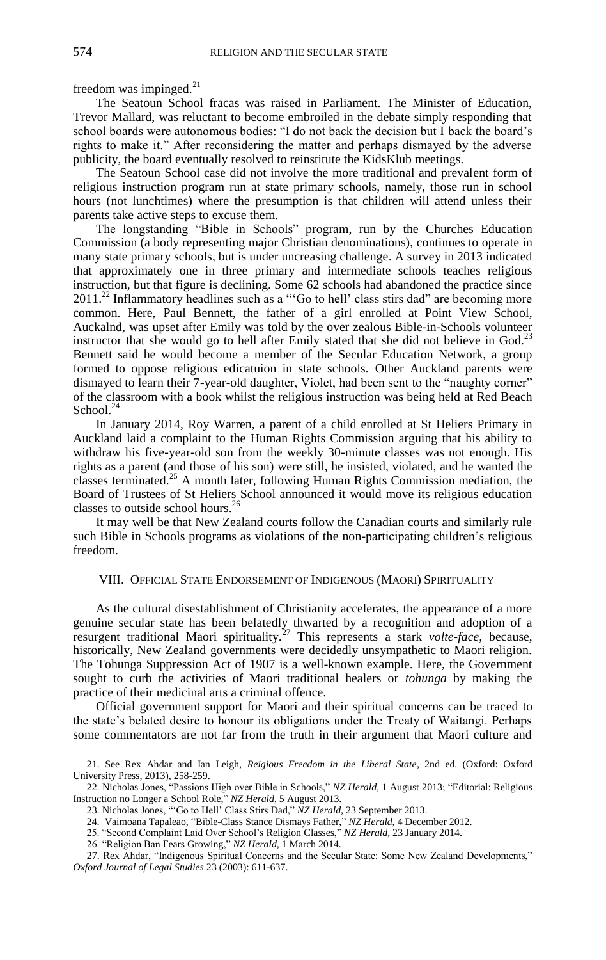freedom was impinged. $^{21}$ 

The Seatoun School fracas was raised in Parliament. The Minister of Education, Trevor Mallard, was reluctant to become embroiled in the debate simply responding that school boards were autonomous bodies: "I do not back the decision but I back the board's rights to make it." After reconsidering the matter and perhaps dismayed by the adverse publicity, the board eventually resolved to reinstitute the KidsKlub meetings.

The Seatoun School case did not involve the more traditional and prevalent form of religious instruction program run at state primary schools, namely, those run in school hours (not lunchtimes) where the presumption is that children will attend unless their parents take active steps to excuse them.

The longstanding "Bible in Schools" program, run by the Churches Education Commission (a body representing major Christian denominations), continues to operate in many state primary schools, but is under uncreasing challenge. A survey in 2013 indicated that approximately one in three primary and intermediate schools teaches religious instruction, but that figure is declining. Some 62 schools had abandoned the practice since 2011.<sup>22</sup> Inflammatory headlines such as a "Go to hell' class stirs dad" are becoming more common. Here, Paul Bennett, the father of a girl enrolled at Point View School, Auckalnd, was upset after Emily was told by the over zealous Bible-in-Schools volunteer instructor that she would go to hell after Emily stated that she did not believe in God.<sup>23</sup> Bennett said he would become a member of the Secular Education Network, a group formed to oppose religious edicatuion in state schools. Other Auckland parents were dismayed to learn their 7-year-old daughter, Violet, had been sent to the "naughty corner" of the classroom with a book whilst the religious instruction was being held at Red Beach School.<sup>24</sup>

In January 2014, Roy Warren, a parent of a child enrolled at St Heliers Primary in Auckland laid a complaint to the Human Rights Commission arguing that his ability to withdraw his five-year-old son from the weekly 30-minute classes was not enough. His rights as a parent (and those of his son) were still, he insisted, violated, and he wanted the classes terminated.<sup>25</sup> A month later, following Human Rights Commission mediation, the Board of Trustees of St Heliers School announced it would move its religious education classes to outside school hours.<sup>26</sup>

It may well be that New Zealand courts follow the Canadian courts and similarly rule such Bible in Schools programs as violations of the non-participating children's religious freedom.

# VIII. OFFICIAL STATE ENDORSEMENT OF INDIGENOUS (MAORI) SPIRITUALITY

As the cultural disestablishment of Christianity accelerates, the appearance of a more genuine secular state has been belatedly thwarted by a recognition and adoption of a resurgent traditional Maori spirituality.<sup>27</sup> This represents a stark *volte-face*, because, historically, New Zealand governments were decidedly unsympathetic to Maori religion. The Tohunga Suppression Act of 1907 is a well-known example. Here, the Government sought to curb the activities of Maori traditional healers or *tohunga* by making the practice of their medicinal arts a criminal offence.

Official government support for Maori and their spiritual concerns can be traced to the state's belated desire to honour its obligations under the Treaty of Waitangi. Perhaps some commentators are not far from the truth in their argument that Maori culture and

<sup>21.</sup> See Rex Ahdar and Ian Leigh, *Reigious Freedom in the Liberal State*, 2nd ed. (Oxford: Oxford University Press, 2013), 258-259.

<sup>22.</sup> Nicholas Jones, "Passions High over Bible in Schools," *NZ Herald*, 1 August 2013; "Editorial: Religious Instruction no Longer a School Role," *NZ Herald*, 5 August 2013.

<sup>23.</sup> Nicholas Jones, "'Go to Hell' Class Stirs Dad," *NZ Herald,* 23 September 2013.

<sup>24.</sup> Vaimoana Tapaleao, "Bible-Class Stance Dismays Father," *NZ Herald,* 4 December 2012.

<sup>25. &</sup>quot;Second Complaint Laid Over School's Religion Classes," *NZ Herald,* 23 January 2014.

<sup>26. &</sup>quot;Religion Ban Fears Growing," *NZ Herald*, 1 March 2014.

<sup>27.</sup> Rex Ahdar, "Indigenous Spiritual Concerns and the Secular State: Some New Zealand Developments," *Oxford Journal of Legal Studies* 23 (2003): 611-637.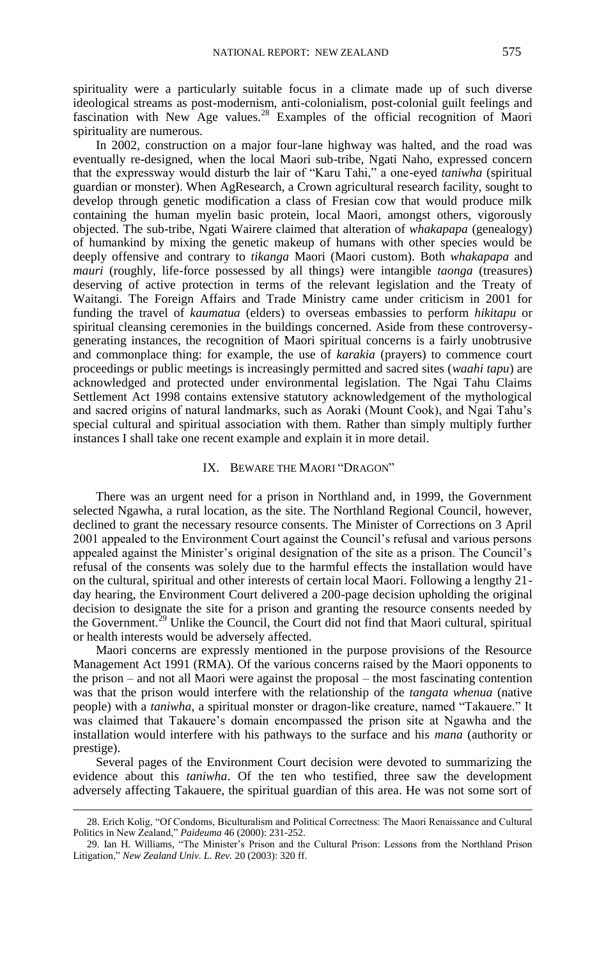spirituality were a particularly suitable focus in a climate made up of such diverse ideological streams as post-modernism, anti-colonialism, post-colonial guilt feelings and fascination with New Age values.<sup>28</sup> Examples of the official recognition of Maori spirituality are numerous.

In 2002, construction on a major four-lane highway was halted, and the road was eventually re-designed, when the local Maori sub-tribe, Ngati Naho, expressed concern that the expressway would disturb the lair of "Karu Tahi," a one-eyed *taniwha* (spiritual guardian or monster). When AgResearch, a Crown agricultural research facility, sought to develop through genetic modification a class of Fresian cow that would produce milk containing the human myelin basic protein, local Maori, amongst others, vigorously objected. The sub-tribe, Ngati Wairere claimed that alteration of *whakapapa* (genealogy) of humankind by mixing the genetic makeup of humans with other species would be deeply offensive and contrary to *tikanga* Maori (Maori custom). Both *whakapapa* and *mauri* (roughly, life-force possessed by all things) were intangible *taonga* (treasures) deserving of active protection in terms of the relevant legislation and the Treaty of Waitangi. The Foreign Affairs and Trade Ministry came under criticism in 2001 for funding the travel of *kaumatua* (elders) to overseas embassies to perform *hikitapu* or spiritual cleansing ceremonies in the buildings concerned. Aside from these controversygenerating instances, the recognition of Maori spiritual concerns is a fairly unobtrusive and commonplace thing: for example, the use of *karakia* (prayers) to commence court proceedings or public meetings is increasingly permitted and sacred sites (*waahi tapu*) are acknowledged and protected under environmental legislation. The Ngai Tahu Claims Settlement Act 1998 contains extensive statutory acknowledgement of the mythological and sacred origins of natural landmarks, such as Aoraki (Mount Cook), and Ngai Tahu's special cultural and spiritual association with them. Rather than simply multiply further instances I shall take one recent example and explain it in more detail.

# IX. BEWARE THE MAORI "DRAGON"

There was an urgent need for a prison in Northland and, in 1999, the Government selected Ngawha, a rural location, as the site. The Northland Regional Council, however, declined to grant the necessary resource consents. The Minister of Corrections on 3 April 2001 appealed to the Environment Court against the Council's refusal and various persons appealed against the Minister's original designation of the site as a prison. The Council's refusal of the consents was solely due to the harmful effects the installation would have on the cultural, spiritual and other interests of certain local Maori. Following a lengthy 21 day hearing, the Environment Court delivered a 200-page decision upholding the original decision to designate the site for a prison and granting the resource consents needed by the Government.<sup>29</sup> Unlike the Council, the Court did not find that Maori cultural, spiritual or health interests would be adversely affected.

Maori concerns are expressly mentioned in the purpose provisions of the Resource Management Act 1991 (RMA). Of the various concerns raised by the Maori opponents to the prison – and not all Maori were against the proposal – the most fascinating contention was that the prison would interfere with the relationship of the *tangata whenua* (native people) with a *taniwha*, a spiritual monster or dragon-like creature, named "Takauere." It was claimed that Takauere's domain encompassed the prison site at Ngawha and the installation would interfere with his pathways to the surface and his *mana* (authority or prestige).

Several pages of the Environment Court decision were devoted to summarizing the evidence about this *taniwha*. Of the ten who testified, three saw the development adversely affecting Takauere, the spiritual guardian of this area. He was not some sort of

<sup>28.</sup> Erich Kolig, "Of Condoms, Biculturalism and Political Correctness: The Maori Renaissance and Cultural Politics in New Zealand," *Paideuma* 46 (2000): 231-252.

<sup>29.</sup> Ian H. Williams, "The Minister's Prison and the Cultural Prison: Lessons from the Northland Prison Litigation," *New Zealand Univ. L. Rev.* 20 (2003): 320 ff.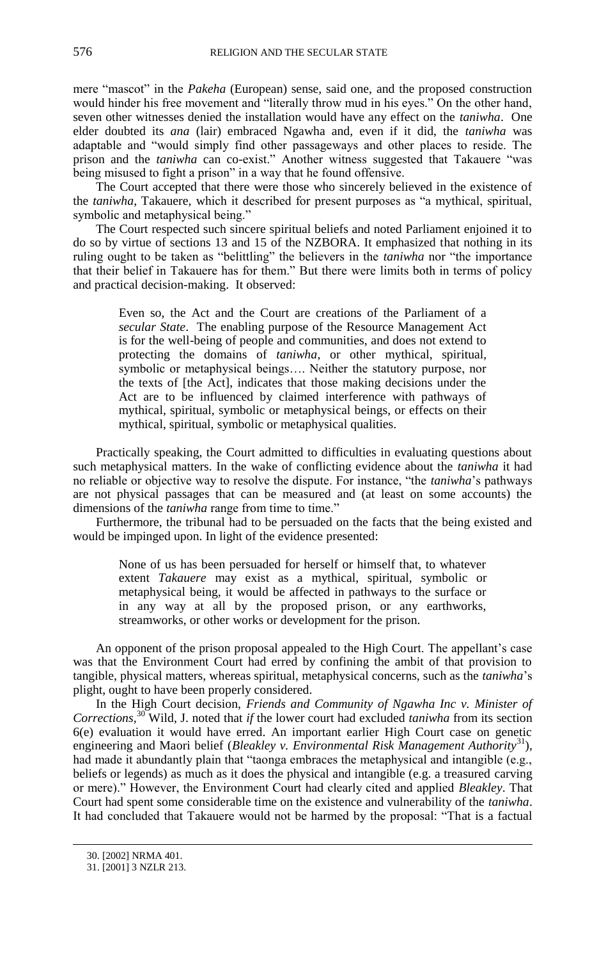mere "mascot" in the *Pakeha* (European) sense, said one, and the proposed construction would hinder his free movement and "literally throw mud in his eyes." On the other hand, seven other witnesses denied the installation would have any effect on the *taniwha*. One elder doubted its *ana* (lair) embraced Ngawha and, even if it did, the *taniwha* was adaptable and "would simply find other passageways and other places to reside. The prison and the *taniwha* can co-exist." Another witness suggested that Takauere "was being misused to fight a prison" in a way that he found offensive.

The Court accepted that there were those who sincerely believed in the existence of the *taniwha*, Takauere, which it described for present purposes as "a mythical, spiritual, symbolic and metaphysical being."

The Court respected such sincere spiritual beliefs and noted Parliament enjoined it to do so by virtue of sections 13 and 15 of the NZBORA. It emphasized that nothing in its ruling ought to be taken as "belittling" the believers in the *taniwha* nor "the importance that their belief in Takauere has for them." But there were limits both in terms of policy and practical decision-making. It observed:

Even so, the Act and the Court are creations of the Parliament of a *secular State*. The enabling purpose of the Resource Management Act is for the well-being of people and communities, and does not extend to protecting the domains of *taniwha*, or other mythical, spiritual, symbolic or metaphysical beings…. Neither the statutory purpose, nor the texts of [the Act], indicates that those making decisions under the Act are to be influenced by claimed interference with pathways of mythical, spiritual, symbolic or metaphysical beings, or effects on their mythical, spiritual, symbolic or metaphysical qualities.

Practically speaking, the Court admitted to difficulties in evaluating questions about such metaphysical matters. In the wake of conflicting evidence about the *taniwha* it had no reliable or objective way to resolve the dispute. For instance, "the *taniwha*'s pathways are not physical passages that can be measured and (at least on some accounts) the dimensions of the *taniwha* range from time to time."

Furthermore, the tribunal had to be persuaded on the facts that the being existed and would be impinged upon. In light of the evidence presented:

None of us has been persuaded for herself or himself that, to whatever extent *Takauere* may exist as a mythical, spiritual, symbolic or metaphysical being, it would be affected in pathways to the surface or in any way at all by the proposed prison, or any earthworks, streamworks, or other works or development for the prison.

An opponent of the prison proposal appealed to the High Court. The appellant's case was that the Environment Court had erred by confining the ambit of that provision to tangible, physical matters, whereas spiritual, metaphysical concerns, such as the *taniwha*'s plight, ought to have been properly considered.

In the High Court decision, *Friends and Community of Ngawha Inc v. Minister of Corrections,*<sup>30</sup> Wild, J. noted that *if* the lower court had excluded *taniwha* from its section 6(e) evaluation it would have erred. An important earlier High Court case on genetic engineering and Maori belief (*Bleakley v. Environmental Risk Management Authority*<sup>31</sup>), had made it abundantly plain that "taonga embraces the metaphysical and intangible (e.g., beliefs or legends) as much as it does the physical and intangible (e.g. a treasured carving or mere)." However, the Environment Court had clearly cited and applied *Bleakley*. That Court had spent some considerable time on the existence and vulnerability of the *taniwha*. It had concluded that Takauere would not be harmed by the proposal: "That is a factual

<sup>30.</sup> [2002] NRMA 401.

<sup>31.</sup> [2001] 3 NZLR 213.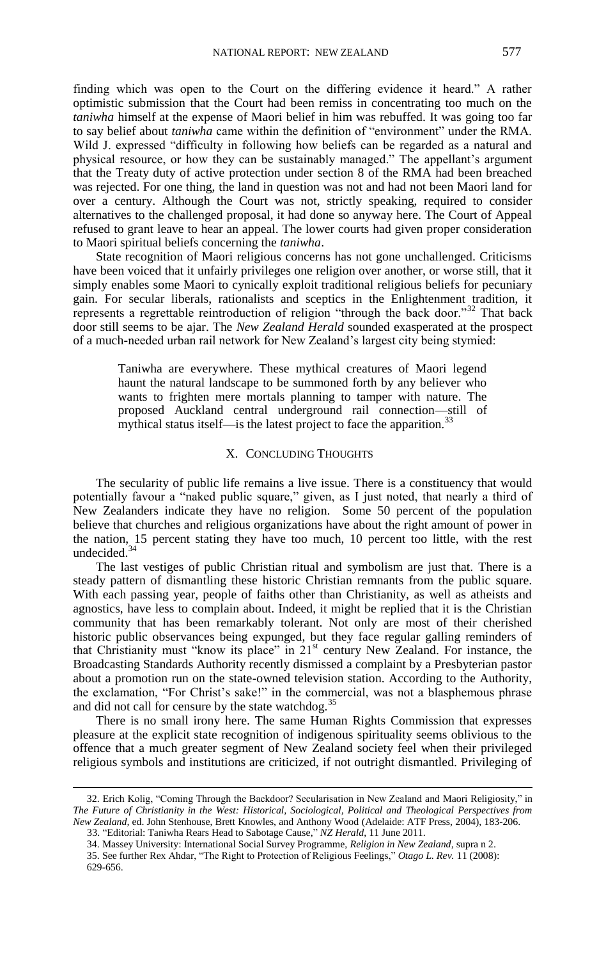finding which was open to the Court on the differing evidence it heard." A rather optimistic submission that the Court had been remiss in concentrating too much on the *taniwha* himself at the expense of Maori belief in him was rebuffed. It was going too far to say belief about *taniwha* came within the definition of "environment" under the RMA. Wild J. expressed "difficulty in following how beliefs can be regarded as a natural and physical resource, or how they can be sustainably managed." The appellant's argument that the Treaty duty of active protection under section 8 of the RMA had been breached was rejected. For one thing, the land in question was not and had not been Maori land for over a century. Although the Court was not, strictly speaking, required to consider alternatives to the challenged proposal, it had done so anyway here. The Court of Appeal refused to grant leave to hear an appeal. The lower courts had given proper consideration to Maori spiritual beliefs concerning the *taniwha*.

State recognition of Maori religious concerns has not gone unchallenged. Criticisms have been voiced that it unfairly privileges one religion over another, or worse still, that it simply enables some Maori to cynically exploit traditional religious beliefs for pecuniary gain. For secular liberals, rationalists and sceptics in the Enlightenment tradition, it represents a regrettable reintroduction of religion "through the back door."<sup>32</sup> That back door still seems to be ajar. The *New Zealand Herald* sounded exasperated at the prospect of a much-needed urban rail network for New Zealand's largest city being stymied:

Taniwha are everywhere. These mythical creatures of Maori legend haunt the natural landscape to be summoned forth by any believer who wants to frighten mere mortals planning to tamper with nature. The proposed Auckland central underground rail connection—still of mythical status itself—is the latest project to face the apparition. $^{33}$ 

### X. CONCLUDING THOUGHTS

The secularity of public life remains a live issue. There is a constituency that would potentially favour a "naked public square," given, as I just noted, that nearly a third of New Zealanders indicate they have no religion. Some 50 percent of the population believe that churches and religious organizations have about the right amount of power in the nation, 15 percent stating they have too much, 10 percent too little, with the rest undecided. $34$ 

The last vestiges of public Christian ritual and symbolism are just that. There is a steady pattern of dismantling these historic Christian remnants from the public square. With each passing year, people of faiths other than Christianity, as well as atheists and agnostics, have less to complain about. Indeed, it might be replied that it is the Christian community that has been remarkably tolerant. Not only are most of their cherished historic public observances being expunged, but they face regular galling reminders of that Christianity must "know its place" in  $21<sup>st</sup>$  century New Zealand. For instance, the Broadcasting Standards Authority recently dismissed a complaint by a Presbyterian pastor about a promotion run on the state-owned television station. According to the Authority, the exclamation, "For Christ's sake!" in the commercial, was not a blasphemous phrase and did not call for censure by the state watchdog.<sup>35</sup>

There is no small irony here. The same Human Rights Commission that expresses pleasure at the explicit state recognition of indigenous spirituality seems oblivious to the offence that a much greater segment of New Zealand society feel when their privileged religious symbols and institutions are criticized, if not outright dismantled. Privileging of

<sup>32.</sup> Erich Kolig, "Coming Through the Backdoor? Secularisation in New Zealand and Maori Religiosity," in *The Future of Christianity in the West: Historical, Sociological, Political and Theological Perspectives from New Zealand,* ed. John Stenhouse, Brett Knowles, and Anthony Wood (Adelaide: ATF Press, 2004), 183-206. 33. "Editorial: Taniwha Rears Head to Sabotage Cause," *NZ Herald*, 11 June 2011.

<sup>34.</sup> Massey University: International Social Survey Programme, *Religion in New Zealand*, supra n 2.

<sup>35.</sup> See further Rex Ahdar, "The Right to Protection of Religious Feelings," *Otago L. Rev.* 11 (2008): 629-656.